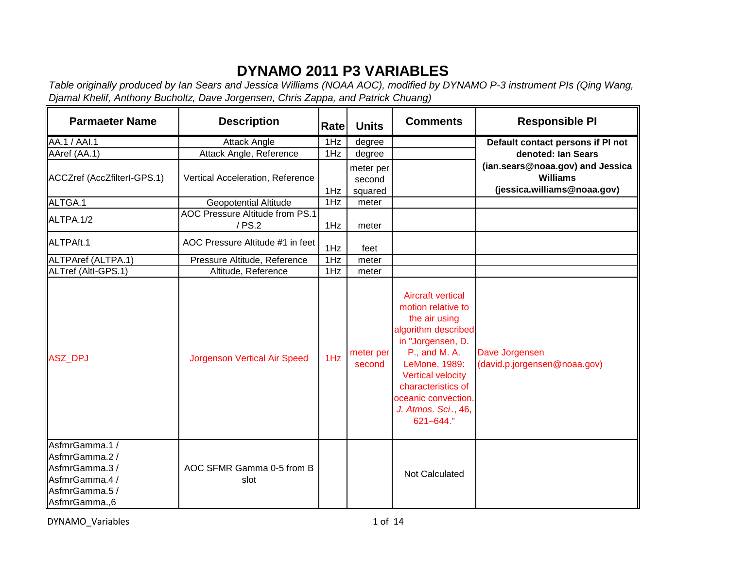## **DYNAMO 2011 P3 VARIABLES**

*Table originally produced by Ian Sears and Jessica Williams (NOAA AOC), modified by DYNAMO P-3 instrument PIs (Qing Wang, Djamal Khelif, Anthony Bucholtz, Dave Jorgensen, Chris Zappa, and Patrick Chuang)*

| <b>Parmaeter Name</b>                                                                                 | <b>Description</b>                        | Rate | <b>Units</b>                   | <b>Comments</b>                                                                                                                                                                                                                                           | <b>Responsible PI</b>                                                              |
|-------------------------------------------------------------------------------------------------------|-------------------------------------------|------|--------------------------------|-----------------------------------------------------------------------------------------------------------------------------------------------------------------------------------------------------------------------------------------------------------|------------------------------------------------------------------------------------|
| <b>AA.1 / AAI.1</b>                                                                                   | <b>Attack Angle</b>                       | 1Hz  | degree                         |                                                                                                                                                                                                                                                           | Default contact persons if PI not                                                  |
| AAref (AA.1)                                                                                          | Attack Angle, Reference                   | 1Hz  | degree                         |                                                                                                                                                                                                                                                           | denoted: Ian Sears                                                                 |
| ACCZref (AccZfilterI-GPS.1)                                                                           | Vertical Acceleration, Reference          | 1Hz  | meter per<br>second<br>squared |                                                                                                                                                                                                                                                           | (ian.sears@noaa.gov) and Jessica<br><b>Williams</b><br>(jessica.williams@noaa.gov) |
| ALTGA.1                                                                                               | <b>Geopotential Altitude</b>              | 1Hz  | meter                          |                                                                                                                                                                                                                                                           |                                                                                    |
| ALTPA.1/2                                                                                             | AOC Pressure Altitude from PS.1<br>/ PS.2 | 1Hz  | meter                          |                                                                                                                                                                                                                                                           |                                                                                    |
| ALTPAft.1                                                                                             | AOC Pressure Altitude #1 in feet          | 1Hz  | feet                           |                                                                                                                                                                                                                                                           |                                                                                    |
| ALTPAref (ALTPA.1)                                                                                    | Pressure Altitude, Reference              | 1Hz  | meter                          |                                                                                                                                                                                                                                                           |                                                                                    |
| ALTref (Altl-GPS.1)                                                                                   | Altitude, Reference                       | 1Hz  | meter                          |                                                                                                                                                                                                                                                           |                                                                                    |
| <b>ASZ_DPJ</b>                                                                                        | <b>Jorgenson Vertical Air Speed</b>       | 1Hz  | meter per<br>second            | <b>Aircraft vertical</b><br>motion relative to<br>the air using<br>algorithm described<br>in "Jorgensen, D.<br>P., and M. A.<br>LeMone, 1989:<br><b>Vertical velocity</b><br>characteristics of<br>oceanic convection<br>J. Atmos. Sci., 46,<br>621-644." | Dave Jorgensen<br>(david.p.jorgensen@noaa.gov)                                     |
| AsfmrGamma.1/<br>AsfmrGamma.2 /<br>AsfmrGamma.3/<br>AsfmrGamma.4 /<br>AsfmrGamma.5 /<br>AsfmrGamma.,6 | AOC SFMR Gamma 0-5 from B<br>slot         |      |                                | Not Calculated                                                                                                                                                                                                                                            |                                                                                    |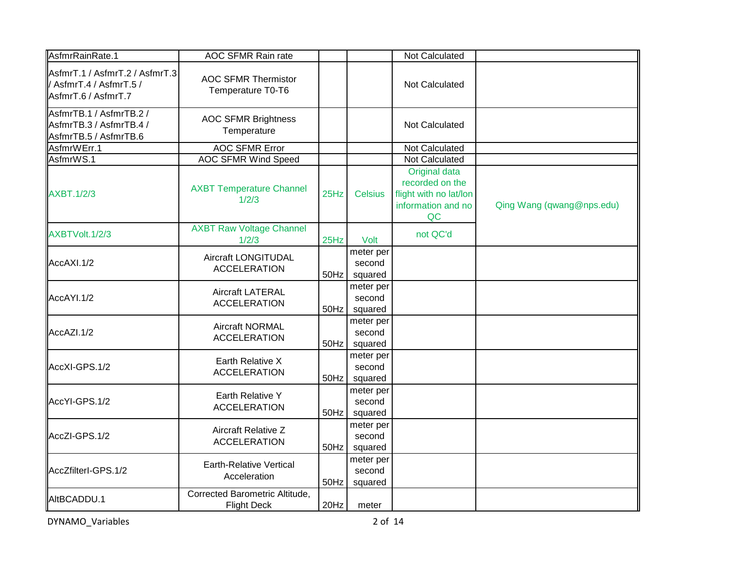| AsfmrRainRate.1                                                                  | AOC SFMR Rain rate                                   |         |                                | Not Calculated                                                                         |                           |
|----------------------------------------------------------------------------------|------------------------------------------------------|---------|--------------------------------|----------------------------------------------------------------------------------------|---------------------------|
| AsfmrT.1 / AsfmrT.2 / AsfmrT.3<br>/ AsfmrT.4 / AsfmrT.5 /<br>AsfmrT.6 / AsfmrT.7 | <b>AOC SFMR Thermistor</b><br>Temperature T0-T6      |         |                                | Not Calculated                                                                         |                           |
| AsfmrTB.1 / AsfmrTB.2 /<br>AsfmrTB.3 / AsfmrTB.4 /<br>AsfmrTB.5 / AsfmrTB.6      | <b>AOC SFMR Brightness</b><br>Temperature            |         |                                | Not Calculated                                                                         |                           |
| AsfmrWErr.1                                                                      | <b>AOC SFMR Error</b>                                |         |                                | Not Calculated                                                                         |                           |
| AsfmrWS.1                                                                        | <b>AOC SFMR Wind Speed</b>                           |         |                                | Not Calculated                                                                         |                           |
| <b>AXBT.1/2/3</b>                                                                | <b>AXBT Temperature Channel</b><br>1/2/3             | 25Hz    | <b>Celsius</b>                 | Original data<br>recorded on the<br>flight with no lat/lon<br>information and no<br>QC | Qing Wang (qwang@nps.edu) |
| AXBTVolt.1/2/3                                                                   | <b>AXBT Raw Voltage Channel</b><br>1/2/3             | 25Hz    | Volt                           | not QC'd                                                                               |                           |
| AccAXI.1/2                                                                       | <b>Aircraft LONGITUDAL</b><br><b>ACCELERATION</b>    | 50Hz    | meter per<br>second<br>squared |                                                                                        |                           |
| AccAYI.1/2                                                                       | <b>Aircraft LATERAL</b><br><b>ACCELERATION</b>       | 50Hz    | meter per<br>second<br>squared |                                                                                        |                           |
| AccAZI.1/2                                                                       | <b>Aircraft NORMAL</b><br><b>ACCELERATION</b>        | $50$ Hz | meter per<br>second<br>squared |                                                                                        |                           |
| AccXI-GPS.1/2                                                                    | Earth Relative X<br><b>ACCELERATION</b>              | 50Hz    | meter per<br>second<br>squared |                                                                                        |                           |
| AccYI-GPS.1/2                                                                    | Earth Relative Y<br><b>ACCELERATION</b>              | 50Hz    | meter per<br>second<br>squared |                                                                                        |                           |
| AccZI-GPS.1/2                                                                    | <b>Aircraft Relative Z</b><br><b>ACCELERATION</b>    | 50Hz    | meter per<br>second<br>squared |                                                                                        |                           |
| AccZfilterl-GPS.1/2                                                              | <b>Earth-Relative Vertical</b><br>Acceleration       | 50Hz    | meter per<br>second<br>squared |                                                                                        |                           |
| AltBCADDU.1                                                                      | Corrected Barometric Altitude,<br><b>Flight Deck</b> | 20Hz    | meter                          |                                                                                        |                           |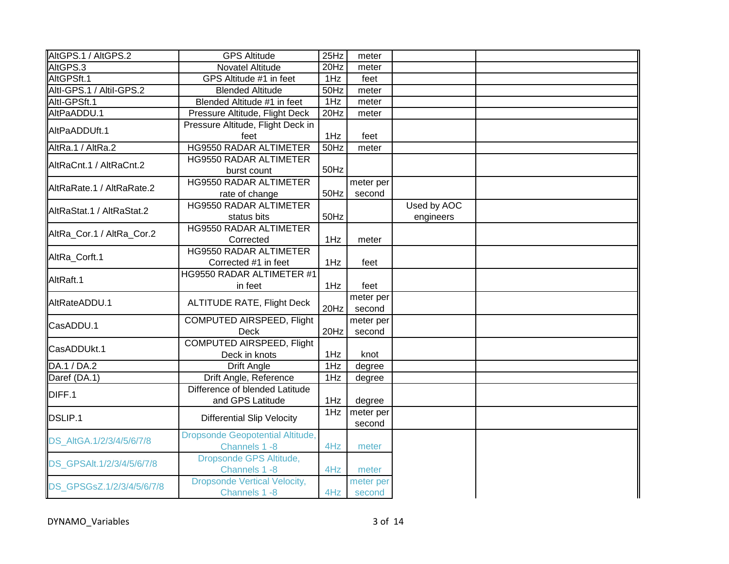| AltGPS.1 / AltGPS.2       | <b>GPS Altitude</b>                                      | 25Hz    | meter               |                          |  |
|---------------------------|----------------------------------------------------------|---------|---------------------|--------------------------|--|
| AltGPS.3                  | Novatel Altitude                                         | $20$ Hz | meter               |                          |  |
| AltGPSft.1                | GPS Altitude #1 in feet                                  | 1Hz     | feet                |                          |  |
| Altl-GPS.1 / Altil-GPS.2  | <b>Blended Altitude</b>                                  | 50Hz    | meter               |                          |  |
| Altl-GPSft.1              | Blended Altitude #1 in feet                              | 1Hz     | meter               |                          |  |
| AltPaADDU.1               | Pressure Altitude, Flight Deck                           | 20Hz    | meter               |                          |  |
| AltPaADDUft.1             | Pressure Altitude, Flight Deck in<br>feet                | 1Hz     | feet                |                          |  |
| AltRa.1 / AltRa.2         | <b>HG9550 RADAR ALTIMETER</b>                            | $50$ Hz | meter               |                          |  |
| AltRaCnt.1 / AltRaCnt.2   | HG9550 RADAR ALTIMETER<br>burst count                    | 50Hz    |                     |                          |  |
| AltRaRate.1 / AltRaRate.2 | <b>HG9550 RADAR ALTIMETER</b><br>rate of change          | 50Hz    | meter per<br>second |                          |  |
| AltRaStat.1 / AltRaStat.2 | <b>HG9550 RADAR ALTIMETER</b><br>status bits             | 50Hz    |                     | Used by AOC<br>engineers |  |
| AltRa_Cor.1 / AltRa_Cor.2 | <b>HG9550 RADAR ALTIMETER</b><br>Corrected               | 1Hz     | meter               |                          |  |
| AltRa_Corft.1             | <b>HG9550 RADAR ALTIMETER</b><br>Corrected #1 in feet    | 1Hz     | feet                |                          |  |
| AltRaft.1                 | HG9550 RADAR ALTIMETER #1<br>in feet                     | 1Hz     | feet                |                          |  |
| AltRateADDU.1             | <b>ALTITUDE RATE, Flight Deck</b>                        | 20Hz    | meter per<br>second |                          |  |
| CasADDU.1                 | COMPUTED AIRSPEED, Flight<br>Deck                        | 20Hz    | meter per<br>second |                          |  |
| CasADDUkt.1               | <b>COMPUTED AIRSPEED, Flight</b><br>Deck in knots        | 1Hz     | knot                |                          |  |
| DA.1 / DA.2               | <b>Drift Angle</b>                                       | 1Hz     | degree              |                          |  |
| Daref (DA.1)              | Drift Angle, Reference                                   | 1Hz     | degree              |                          |  |
| DIFF.1                    | Difference of blended Latitude<br>and GPS Latitude       | 1Hz     | degree              |                          |  |
| DSLIP.1                   | <b>Differential Slip Velocity</b>                        | 1Hz     | meter per<br>second |                          |  |
| DS_AltGA.1/2/3/4/5/6/7/8  | <b>Dropsonde Geopotential Altitude,</b><br>Channels 1 -8 | 4Hz     | meter               |                          |  |
| DS GPSAIt.1/2/3/4/5/6/7/8 | Dropsonde GPS Altitude,<br>Channels 1 -8                 | 4Hz     | meter               |                          |  |
| DS_GPSGsZ.1/2/3/4/5/6/7/8 | <b>Dropsonde Vertical Velocity,</b><br>Channels 1 -8     | 4Hz     | meter per<br>second |                          |  |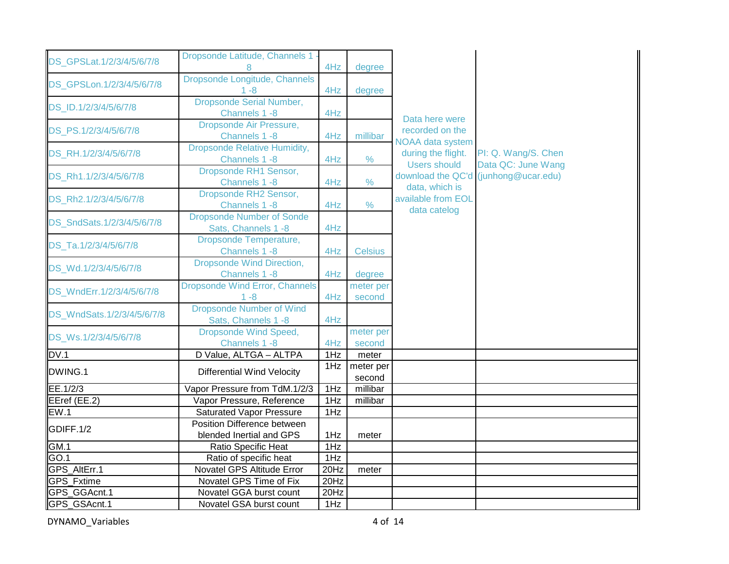| DS GPSLat.1/2/3/4/5/6/7/8  | Dropsonde Latitude, Channels 1 -                        | 4Hz  | degree              |                                                               |                                                            |
|----------------------------|---------------------------------------------------------|------|---------------------|---------------------------------------------------------------|------------------------------------------------------------|
| DS_GPSLon.1/2/3/4/5/6/7/8  | Dropsonde Longitude, Channels<br>$1 - 8$                | 4Hz  | degree              |                                                               |                                                            |
| DS ID.1/2/3/4/5/6/7/8      | <b>Dropsonde Serial Number,</b><br>Channels 1 -8        | 4Hz  |                     |                                                               |                                                            |
| DS_PS.1/2/3/4/5/6/7/8      | Dropsonde Air Pressure,<br>Channels 1 -8                | 4Hz  | millibar            | Data here were<br>recorded on the                             |                                                            |
| DS_RH.1/2/3/4/5/6/7/8      | <b>Dropsonde Relative Humidity,</b><br>Channels 1 -8    | 4Hz  | $\frac{0}{0}$       | NOAA data system<br>during the flight.<br><b>Users should</b> | PI: Q. Wang/S. Chen                                        |
| DS_Rh1.1/2/3/4/5/6/7/8     | Dropsonde RH1 Sensor,<br>Channels 1 -8                  | 4Hz  | $\frac{0}{0}$       | data, which is                                                | Data QC: June Wang<br>download the QC'd (junhong@ucar.edu) |
| DS Rh2.1/2/3/4/5/6/7/8     | Dropsonde RH2 Sensor,<br>Channels 1 -8                  | 4Hz  | $\%$                | available from EOL<br>data catelog                            |                                                            |
| DS SndSats.1/2/3/4/5/6/7/8 | <b>Dropsonde Number of Sonde</b><br>Sats, Channels 1 -8 | 4Hz  |                     |                                                               |                                                            |
| DS Ta.1/2/3/4/5/6/7/8      | <b>Dropsonde Temperature,</b><br>Channels 1 -8          | 4Hz  | <b>Celsius</b>      |                                                               |                                                            |
| DS Wd.1/2/3/4/5/6/7/8      | <b>Dropsonde Wind Direction,</b><br>Channels 1-8        | 4Hz  | degree              |                                                               |                                                            |
| DS_WndErr.1/2/3/4/5/6/7/8  | <b>Dropsonde Wind Error, Channels</b><br>$1 - 8$        | 4Hz  | meter per<br>second |                                                               |                                                            |
| DS_WndSats.1/2/3/4/5/6/7/8 | <b>Dropsonde Number of Wind</b><br>Sats, Channels 1 -8  | 4Hz  |                     |                                                               |                                                            |
| DS_Ws.1/2/3/4/5/6/7/8      | <b>Dropsonde Wind Speed,</b><br>Channels 1 -8           | 4Hz  | meter per<br>second |                                                               |                                                            |
| DV.1                       | D Value, ALTGA - ALTPA                                  | 1Hz  | meter               |                                                               |                                                            |
| DWING.1                    | <b>Differential Wind Velocity</b>                       | 1Hz  | meter per<br>second |                                                               |                                                            |
| EE.1/2/3                   | Vapor Pressure from TdM.1/2/3                           | 1Hz  | millibar            |                                                               |                                                            |
| EEref (EE.2)               | Vapor Pressure, Reference                               | 1Hz  | millibar            |                                                               |                                                            |
| EW.1                       | <b>Saturated Vapor Pressure</b>                         | 1Hz  |                     |                                                               |                                                            |
| GDIFF.1/2                  | Position Difference between<br>blended Inertial and GPS | 1Hz  | meter               |                                                               |                                                            |
| GM.1                       | Ratio Specific Heat                                     | 1Hz  |                     |                                                               |                                                            |
| GO.1                       | Ratio of specific heat                                  | 1Hz  |                     |                                                               |                                                            |
| GPS AltErr.1               | Novatel GPS Altitude Error                              | 20Hz | meter               |                                                               |                                                            |
| GPS_Fxtime                 | Novatel GPS Time of Fix                                 | 20Hz |                     |                                                               |                                                            |
| GPS_GGAcnt.1               | Novatel GGA burst count                                 | 20Hz |                     |                                                               |                                                            |
| GPS_GSAcnt.1               | Novatel GSA burst count                                 | 1Hz  |                     |                                                               |                                                            |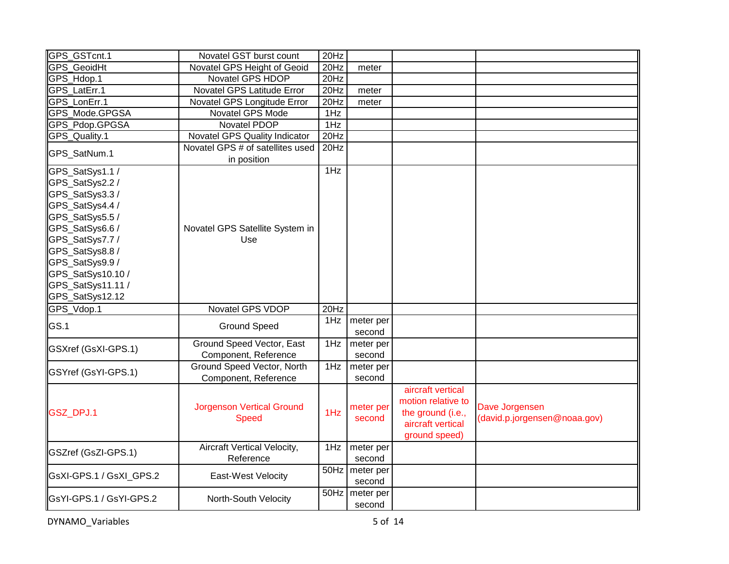| GPS_GSTcnt.1                                                                                                                                                                                                                        | Novatel GST burst count                            | 20Hz    |                     |                                                                                                    |                                                |
|-------------------------------------------------------------------------------------------------------------------------------------------------------------------------------------------------------------------------------------|----------------------------------------------------|---------|---------------------|----------------------------------------------------------------------------------------------------|------------------------------------------------|
| <b>GPS</b> GeoidHt                                                                                                                                                                                                                  | Novatel GPS Height of Geoid                        | 20Hz    | meter               |                                                                                                    |                                                |
| GPS_Hdop.1                                                                                                                                                                                                                          | Novatel GPS HDOP                                   | 20Hz    |                     |                                                                                                    |                                                |
| <b>GPS LatErr.1</b>                                                                                                                                                                                                                 | Novatel GPS Latitude Error                         | 20Hz    | meter               |                                                                                                    |                                                |
| GPS LonErr.1                                                                                                                                                                                                                        | Novatel GPS Longitude Error                        | 20Hz    | meter               |                                                                                                    |                                                |
| GPS Mode.GPGSA                                                                                                                                                                                                                      | Novatel GPS Mode                                   | 1Hz     |                     |                                                                                                    |                                                |
| GPS_Pdop.GPGSA                                                                                                                                                                                                                      | Novatel PDOP                                       | 1Hz     |                     |                                                                                                    |                                                |
| GPS_Quality.1                                                                                                                                                                                                                       | Novatel GPS Quality Indicator                      | 20Hz    |                     |                                                                                                    |                                                |
| GPS_SatNum.1                                                                                                                                                                                                                        | Novatel GPS # of satellites used<br>in position    | 20Hz    |                     |                                                                                                    |                                                |
| GPS_SatSys1.1 /<br>GPS_SatSys2.2 /<br>GPS_SatSys3.3/<br>GPS_SatSys4.4 /<br>GPS_SatSys5.5 /<br>GPS_SatSys6.6 /<br>GPS_SatSys7.7 /<br>GPS_SatSys8.8 /<br>GPS_SatSys9.9 /<br>GPS_SatSys10.10 /<br>GPS_SatSys11.11 /<br>GPS_SatSys12.12 | Novatel GPS Satellite System in<br>Use             | 1Hz     |                     |                                                                                                    |                                                |
| GPS_Vdop.1                                                                                                                                                                                                                          | Novatel GPS VDOP                                   | 20Hz    |                     |                                                                                                    |                                                |
| GS.1                                                                                                                                                                                                                                | <b>Ground Speed</b>                                | 1Hz     | meter per<br>second |                                                                                                    |                                                |
| GSXref (GsXI-GPS.1)                                                                                                                                                                                                                 | Ground Speed Vector, East<br>Component, Reference  | 1Hz     | meter per<br>second |                                                                                                    |                                                |
| GSYref (GsYI-GPS.1)                                                                                                                                                                                                                 | Ground Speed Vector, North<br>Component, Reference | 1Hz     | meter per<br>second |                                                                                                    |                                                |
| GSZ_DPJ.1                                                                                                                                                                                                                           | <b>Jorgenson Vertical Ground</b><br><b>Speed</b>   | 1Hz     | meter per<br>second | aircraft vertical<br>motion relative to<br>the ground (i.e.,<br>aircraft vertical<br>ground speed) | Dave Jorgensen<br>(david.p.jorgensen@noaa.gov) |
| GSZref (GsZI-GPS.1)                                                                                                                                                                                                                 | Aircraft Vertical Velocity,<br>Reference           | 1Hz     | meter per<br>second |                                                                                                    |                                                |
| GsXI-GPS.1 / GsXI_GPS.2                                                                                                                                                                                                             | East-West Velocity                                 | $50$ Hz | meter per<br>second |                                                                                                    |                                                |
| GsYI-GPS.1 / GsYI-GPS.2                                                                                                                                                                                                             | North-South Velocity                               | $50$ Hz | meter per<br>second |                                                                                                    |                                                |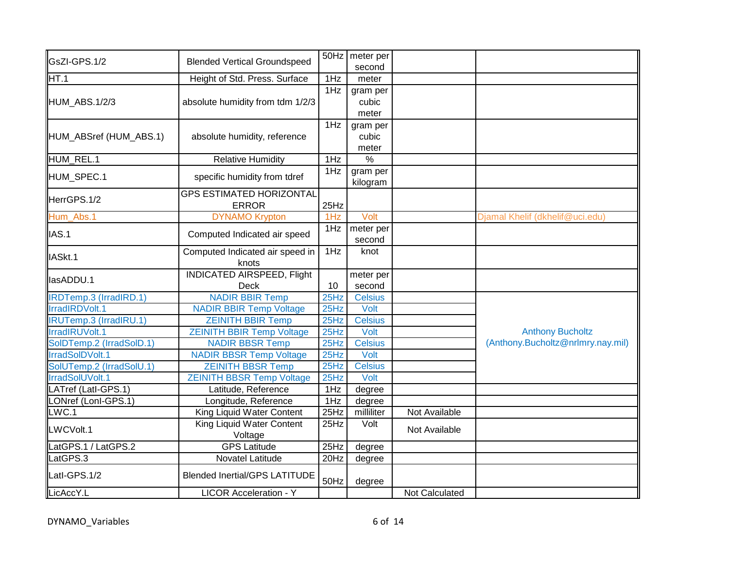| GsZI-GPS.1/2                  | <b>Blended Vertical Groundspeed</b>              |      | 50Hz   meter per<br>second |                |                                   |
|-------------------------------|--------------------------------------------------|------|----------------------------|----------------|-----------------------------------|
| HT.1                          | Height of Std. Press. Surface                    | 1Hz  | meter                      |                |                                   |
| HUM_ABS.1/2/3                 | absolute humidity from tdm 1/2/3                 | 1Hz  | gram per<br>cubic<br>meter |                |                                   |
| HUM_ABSref (HUM_ABS.1)        | absolute humidity, reference                     | 1Hz  | gram per<br>cubic<br>meter |                |                                   |
| HUM_REL.1                     | <b>Relative Humidity</b>                         | 1Hz  | $\frac{0}{6}$              |                |                                   |
| HUM_SPEC.1                    | specific humidity from tdref                     | 1Hz  | gram per<br>kilogram       |                |                                   |
| HerrGPS.1/2                   | <b>GPS ESTIMATED HORIZONTAL</b><br><b>ERROR</b>  | 25Hz |                            |                |                                   |
| Hum_Abs.1                     | <b>DYNAMO Krypton</b>                            | 1Hz  | Volt                       |                | Djamal Khelif (dkhelif@uci.edu)   |
| IAS.1                         | Computed Indicated air speed                     | 1Hz  | meter per<br>second        |                |                                   |
| IASkt.1                       | Computed Indicated air speed in<br>knots         | 1Hz  | knot                       |                |                                   |
| lasADDU.1                     | <b>INDICATED AIRSPEED, Flight</b><br><b>Deck</b> | 10   | meter per<br>second        |                |                                   |
| <b>IRDTemp.3 (IrradIRD.1)</b> | <b>NADIR BBIR Temp</b>                           | 25Hz | <b>Celsius</b>             |                |                                   |
| IrradIRDVolt.1                | <b>NADIR BBIR Temp Voltage</b>                   | 25Hz | Volt                       |                |                                   |
| <b>IRUTemp.3 (IrradIRU.1)</b> | <b>ZEINITH BBIR Temp</b>                         | 25Hz | <b>Celsius</b>             |                |                                   |
| IrradIRUVolt.1                | <b>ZEINITH BBIR Temp Voltage</b>                 | 25Hz | Volt                       |                | <b>Anthony Bucholtz</b>           |
| SolDTemp.2 (IrradSolD.1)      | <b>NADIR BBSR Temp</b>                           | 25Hz | <b>Celsius</b>             |                | (Anthony.Bucholtz@nrlmry.nay.mil) |
| IrradSoIDVolt.1               | <b>NADIR BBSR Temp Voltage</b>                   | 25Hz | Volt                       |                |                                   |
| SolUTemp.2 (IrradSolU.1)      | <b>ZEINITH BBSR Temp</b>                         | 25Hz | <b>Celsius</b>             |                |                                   |
| IrradSolUVolt.1               | <b>ZEINITH BBSR Temp Voltage</b>                 | 25Hz | Volt                       |                |                                   |
| LATref (Latl-GPS.1)           | Latitude, Reference                              | 1Hz  | degree                     |                |                                   |
| LONref (Lonl-GPS.1)           | Longitude, Reference                             | 1Hz  | degree                     |                |                                   |
| LWC.1                         | King Liquid Water Content                        | 25Hz | milliliter                 | Not Available  |                                   |
| LWCVolt.1                     | King Liquid Water Content<br>Voltage             | 25Hz | Volt                       | Not Available  |                                   |
| LatGPS.1 / LatGPS.2           | <b>GPS Latitude</b>                              | 25Hz | degree                     |                |                                   |
| LatGPS.3                      | Novatel Latitude                                 | 20Hz | degree                     |                |                                   |
| Latl-GPS.1/2                  | <b>Blended Inertial/GPS LATITUDE</b>             | 50Hz | degree                     |                |                                   |
| LicAccY.L                     | <b>LICOR Acceleration - Y</b>                    |      |                            | Not Calculated |                                   |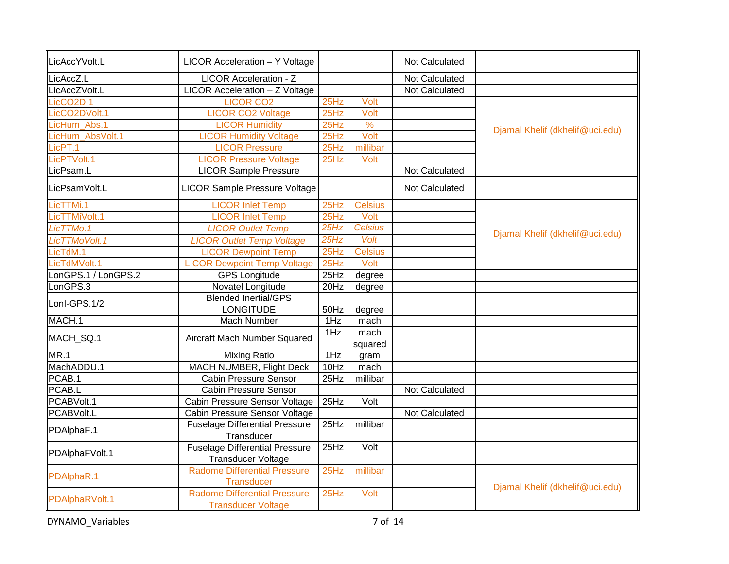| LicAccYVolt.L          | LICOR Acceleration - Y Voltage                                     |      |                 | Not Calculated        |                                 |
|------------------------|--------------------------------------------------------------------|------|-----------------|-----------------------|---------------------------------|
| LicAccZ.L              | <b>LICOR Acceleration - Z</b>                                      |      |                 | Not Calculated        |                                 |
| LicAccZVolt.L          | LICOR Acceleration - Z Voltage                                     |      |                 | Not Calculated        |                                 |
| LicCO <sub>2</sub> D.1 | <b>LICOR CO2</b>                                                   | 25Hz | Volt            |                       |                                 |
| LicCO2DVolt.1          | <b>LICOR CO2 Voltage</b>                                           | 25Hz | Volt            |                       |                                 |
| .icHum_Abs.1           | <b>LICOR Humidity</b>                                              | 25Hz | $\frac{9}{6}$   |                       |                                 |
| LicHum AbsVolt.1       | <b>LICOR Humidity Voltage</b>                                      | 25Hz | Volt            |                       | Djamal Khelif (dkhelif@uci.edu) |
| LicPT.1                | <b>LICOR Pressure</b>                                              | 25Hz | millibar        |                       |                                 |
| LicPTVolt.1            | <b>LICOR Pressure Voltage</b>                                      | 25Hz | Volt            |                       |                                 |
| LicPsam.L              | <b>LICOR Sample Pressure</b>                                       |      |                 | Not Calculated        |                                 |
| LicPsamVolt.L          | <b>LICOR Sample Pressure Voltage</b>                               |      |                 | Not Calculated        |                                 |
| LicTTMi.1              | <b>LICOR Inlet Temp</b>                                            | 25Hz | <b>Celsius</b>  |                       |                                 |
| LicTTMiVolt.1          | <b>LICOR Inlet Temp</b>                                            | 25Hz | Volt            |                       |                                 |
| LicTTMo.1              | <b>LICOR Outlet Temp</b>                                           | 25Hz | <b>Celsius</b>  |                       |                                 |
| LicTTMoVolt.1          | <b>LICOR Outlet Temp Voltage</b>                                   | 25Hz | Volt            |                       | Djamal Khelif (dkhelif@uci.edu) |
| LicTdM.1               | <b>LICOR Dewpoint Temp</b>                                         | 25Hz | <b>Celsius</b>  |                       |                                 |
| LicTdMVolt.1           | <b>LICOR Dewpoint Temp Voltage</b>                                 | 25Hz | Volt            |                       |                                 |
| LonGPS.1 / LonGPS.2    | <b>GPS</b> Longitude                                               | 25Hz | degree          |                       |                                 |
| LonGPS.3               | Novatel Longitude                                                  | 20Hz | degree          |                       |                                 |
|                        | <b>Blended Inertial/GPS</b>                                        |      |                 |                       |                                 |
| Lonl-GPS.1/2           | <b>LONGITUDE</b>                                                   | 50Hz | degree          |                       |                                 |
| MACH.1                 | Mach Number                                                        | 1Hz  | mach            |                       |                                 |
| MACH_SQ.1              | Aircraft Mach Number Squared                                       | 1Hz  | mach<br>squared |                       |                                 |
| <b>MR.1</b>            | <b>Mixing Ratio</b>                                                | 1Hz  | gram            |                       |                                 |
| MachADDU.1             | <b>MACH NUMBER, Flight Deck</b>                                    | 10Hz | mach            |                       |                                 |
| PCAB.1                 | <b>Cabin Pressure Sensor</b>                                       | 25Hz | millibar        |                       |                                 |
| PCAB.L                 | <b>Cabin Pressure Sensor</b>                                       |      |                 | Not Calculated        |                                 |
| PCABVolt.1             | Cabin Pressure Sensor Voltage                                      | 25Hz | Volt            |                       |                                 |
| PCABVolt.L             | Cabin Pressure Sensor Voltage                                      |      |                 | <b>Not Calculated</b> |                                 |
|                        | <b>Fuselage Differential Pressure</b>                              | 25Hz | millibar        |                       |                                 |
| PDAlphaF.1             | Transducer                                                         |      |                 |                       |                                 |
| PDAlphaFVolt.1         | <b>Fuselage Differential Pressure</b><br><b>Transducer Voltage</b> | 25Hz | Volt            |                       |                                 |
| PDAlphaR.1             | <b>Radome Differential Pressure</b><br>Transducer                  | 25Hz | millibar        |                       |                                 |
| PDAlphaRVolt.1         | <b>Radome Differential Pressure</b><br><b>Transducer Voltage</b>   | 25Hz | Volt            |                       | Djamal Khelif (dkhelif@uci.edu) |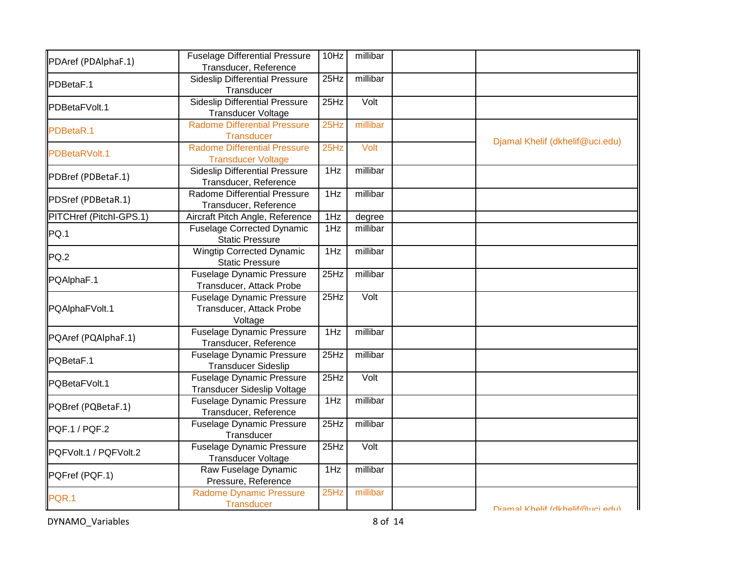| PDAref (PDAlphaF.1)     | <b>Fuselage Differential Pressure</b><br>Transducer, Reference     | 10Hz | millibar |                                 |
|-------------------------|--------------------------------------------------------------------|------|----------|---------------------------------|
| PDBetaF.1               | <b>Sideslip Differential Pressure</b><br>Transducer                | 25Hz | millibar |                                 |
| PDBetaFVolt.1           | <b>Sideslip Differential Pressure</b><br><b>Transducer Voltage</b> | 25Hz | Volt     |                                 |
| PDBetaR.1               | <b>Radome Differential Pressure</b><br><b>Transducer</b>           | 25Hz | millibar | Djamal Khelif (dkhelif@uci.edu) |
| PDBetaRVolt.1           | <b>Radome Differential Pressure</b><br><b>Transducer Voltage</b>   | 25Hz | Volt     |                                 |
| PDBref (PDBetaF.1)      | <b>Sideslip Differential Pressure</b><br>Transducer, Reference     | 1Hz  | millibar |                                 |
| PDSref (PDBetaR.1)      | Radome Differential Pressure<br>Transducer, Reference              | 1Hz  | millibar |                                 |
| PITCHref (Pitchl-GPS.1) | Aircraft Pitch Angle, Reference                                    | 1Hz  | degree   |                                 |
| PQ.1                    | <b>Fuselage Corrected Dynamic</b><br><b>Static Pressure</b>        | 1Hz  | millibar |                                 |
| PQ.2                    | <b>Wingtip Corrected Dynamic</b><br><b>Static Pressure</b>         | 1Hz  | millibar |                                 |
| PQAlphaF.1              | <b>Fuselage Dynamic Pressure</b><br>Transducer, Attack Probe       | 25Hz | millibar |                                 |
| PQAlphaFVolt.1          | Fuselage Dynamic Pressure<br>Transducer, Attack Probe<br>Voltage   | 25Hz | Volt     |                                 |
| PQAref (PQAlphaF.1)     | <b>Fuselage Dynamic Pressure</b><br>Transducer, Reference          | 1Hz  | millibar |                                 |
| PQBetaF.1               | <b>Fuselage Dynamic Pressure</b><br><b>Transducer Sideslip</b>     | 25Hz | millibar |                                 |
| PQBetaFVolt.1           | <b>Fuselage Dynamic Pressure</b><br>Transducer Sideslip Voltage    | 25Hz | Volt     |                                 |
| PQBref (PQBetaF.1)      | <b>Fuselage Dynamic Pressure</b><br>Transducer, Reference          | 1Hz  | millibar |                                 |
| PQF.1 / PQF.2           | <b>Fuselage Dynamic Pressure</b><br>Transducer                     | 25Hz | millibar |                                 |
| PQFVolt.1 / PQFVolt.2   | <b>Fuselage Dynamic Pressure</b><br><b>Transducer Voltage</b>      | 25Hz | Volt     |                                 |
| PQFref (PQF.1)          | Raw Fuselage Dynamic<br>Pressure, Reference                        | 1Hz  | millibar |                                 |
| PQR.1                   | <b>Radome Dynamic Pressure</b><br><b>Transducer</b>                | 25Hz | millibar | Diamal Khalif (dkhalif@uri adu) |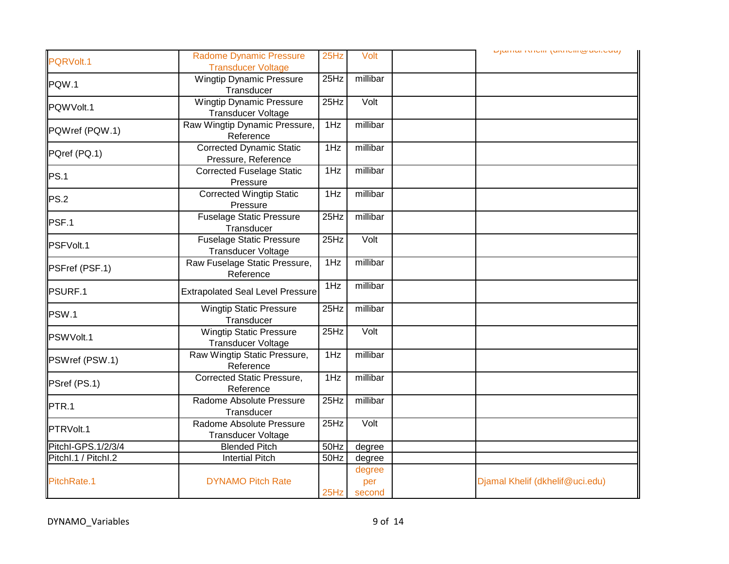|                     |                                                              |                    |                   | <b>Literature Controlling Controlling</b> |
|---------------------|--------------------------------------------------------------|--------------------|-------------------|-------------------------------------------|
| PQRVolt.1           | <b>Radome Dynamic Pressure</b><br><b>Transducer Voltage</b>  | 25Hz               | Volt              |                                           |
| PQW.1               | <b>Wingtip Dynamic Pressure</b><br>Transducer                | 25Hz               | millibar          |                                           |
| PQWVolt.1           | <b>Wingtip Dynamic Pressure</b><br><b>Transducer Voltage</b> | $\overline{2}$ 5Hz | Volt              |                                           |
| PQWref (PQW.1)      | Raw Wingtip Dynamic Pressure,<br>Reference                   | 1Hz                | millibar          |                                           |
| PQref (PQ.1)        | <b>Corrected Dynamic Static</b><br>Pressure, Reference       | 1Hz                | millibar          |                                           |
| PS.1                | <b>Corrected Fuselage Static</b><br>Pressure                 | 1Hz                | millibar          |                                           |
| PS.2                | <b>Corrected Wingtip Static</b><br>Pressure                  | 1Hz                | millibar          |                                           |
| PSF.1               | <b>Fuselage Static Pressure</b><br>Transducer                | 25Hz               | millibar          |                                           |
| PSFVolt.1           | <b>Fuselage Static Pressure</b><br><b>Transducer Voltage</b> | 25Hz               | Volt              |                                           |
| PSFref (PSF.1)      | Raw Fuselage Static Pressure,<br>Reference                   | 1Hz                | millibar          |                                           |
| PSURF.1             | <b>Extrapolated Seal Level Pressure</b>                      | 1Hz                | millibar          |                                           |
| PSW.1               | <b>Wingtip Static Pressure</b><br>Transducer                 | 25Hz               | millibar          |                                           |
| PSWVolt.1           | <b>Wingtip Static Pressure</b><br><b>Transducer Voltage</b>  | 25Hz               | Volt              |                                           |
| PSWref (PSW.1)      | Raw Wingtip Static Pressure,<br>Reference                    | 1Hz                | millibar          |                                           |
| PSref (PS.1)        | <b>Corrected Static Pressure,</b><br>Reference               | 1Hz                | millibar          |                                           |
| PTR.1               | Radome Absolute Pressure<br>Transducer                       | 25Hz               | millibar          |                                           |
| PTRVolt.1           | Radome Absolute Pressure<br><b>Transducer Voltage</b>        | 25Hz               | $\overline{Volt}$ |                                           |
| PitchI-GPS.1/2/3/4  | <b>Blended Pitch</b>                                         | 50Hz               | degree            |                                           |
| Pitchl.1 / Pitchl.2 | <b>Intertial Pitch</b>                                       | 50Hz               | degree            |                                           |
|                     |                                                              |                    | degree            |                                           |
| PitchRate.1         | <b>DYNAMO Pitch Rate</b>                                     | 25Hz               | per<br>second     | Djamal Khelif (dkhelif@uci.edu)           |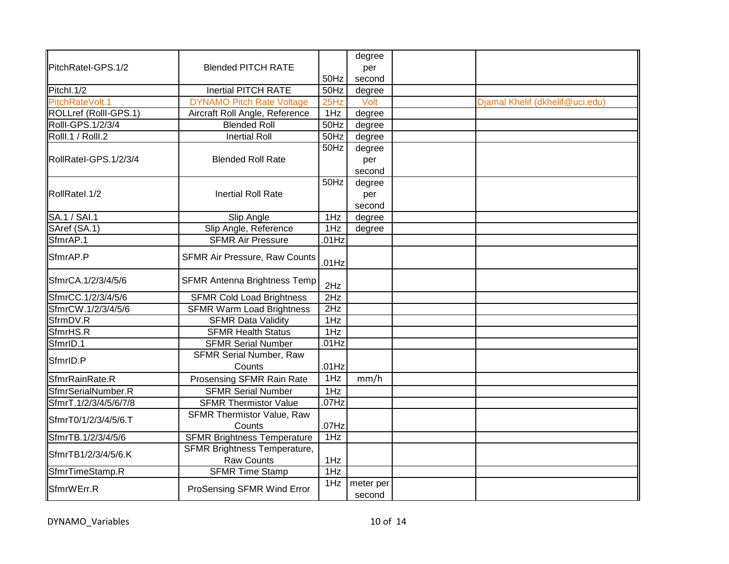|                       |                                     |                   | degree              |                                 |
|-----------------------|-------------------------------------|-------------------|---------------------|---------------------------------|
| PitchRatel-GPS.1/2    | <b>Blended PITCH RATE</b>           |                   | per                 |                                 |
|                       |                                     | 50Hz              | second              |                                 |
| Pitchl.1/2            | <b>Inertial PITCH RATE</b>          | 50Hz              | degree              |                                 |
| PitchRateVolt.1       | <b>DYNAMO Pitch Rate Voltage</b>    | 25Hz              | Volt                | Djamal Khelif (dkhelif@uci.edu) |
| ROLLref (RollI-GPS.1) | Aircraft Roll Angle, Reference      | 1Hz               | degree              |                                 |
| Rolll-GPS.1/2/3/4     | <b>Blended Roll</b>                 | $\overline{50Hz}$ | degree              |                                 |
| Rolll.1 / Rolll.2     | <b>Inertial Roll</b>                | 50Hz              | degree              |                                 |
|                       |                                     | 50Hz              | degree              |                                 |
| RollRatel-GPS.1/2/3/4 | <b>Blended Roll Rate</b>            |                   | per                 |                                 |
|                       |                                     |                   | second              |                                 |
|                       |                                     | 50Hz              | degree              |                                 |
| <b>RollRatel.1/2</b>  | <b>Inertial Roll Rate</b>           |                   | per                 |                                 |
|                       |                                     |                   | second              |                                 |
| <b>SA.1/SAI.1</b>     | <b>Slip Angle</b>                   | 1Hz               | degree              |                                 |
| SAref (SA.1)          | Slip Angle, Reference               | 1Hz               | degree              |                                 |
| SfmrAP.1              | <b>SFMR Air Pressure</b>            | $.01$ Hz          |                     |                                 |
| SfmrAP.P              | SFMR Air Pressure, Raw Counts       | $.01$ Hz          |                     |                                 |
| SfmrCA.1/2/3/4/5/6    | <b>SFMR Antenna Brightness Temp</b> | 2Hz               |                     |                                 |
| SfmrCC.1/2/3/4/5/6    | <b>SFMR Cold Load Brightness</b>    | 2Hz               |                     |                                 |
| SfmrCW.1/2/3/4/5/6    | <b>SFMR Warm Load Brightness</b>    | 2Hz               |                     |                                 |
| SfrmDV.R              | <b>SFMR Data Validity</b>           | 1Hz               |                     |                                 |
| SfmrHS.R              | <b>SFMR Health Status</b>           | 1Hz               |                     |                                 |
| SfmrID.1              | <b>SFMR Serial Number</b>           | $.01$ Hz          |                     |                                 |
| SfmrID.P              | <b>SFMR Serial Number, Raw</b>      |                   |                     |                                 |
|                       | Counts                              | $.01$ Hz          |                     |                                 |
| SfmrRainRate.R        | Prosensing SFMR Rain Rate           | 1Hz               | mm/h                |                                 |
| SfmrSerialNumber.R    | <b>SFMR Serial Number</b>           | 1Hz               |                     |                                 |
| SfmrT.1/2/3/4/5/6/7/8 | <b>SFMR Thermistor Value</b>        | .07Hz             |                     |                                 |
|                       | <b>SFMR Thermistor Value, Raw</b>   |                   |                     |                                 |
| SfmrT0/1/2/3/4/5/6.T  | Counts                              | $.07$ Hz          |                     |                                 |
| SfmrTB.1/2/3/4/5/6    | <b>SFMR Brightness Temperature</b>  | 1Hz               |                     |                                 |
|                       | <b>SFMR Brightness Temperature,</b> |                   |                     |                                 |
| SfmrTB1/2/3/4/5/6.K   | Raw Counts                          | 1Hz               |                     |                                 |
| SfmrTimeStamp.R       | <b>SFMR Time Stamp</b>              | 1Hz               |                     |                                 |
| SfmrWErr.R            | ProSensing SFMR Wind Error          | 1Hz               | meter per<br>second |                                 |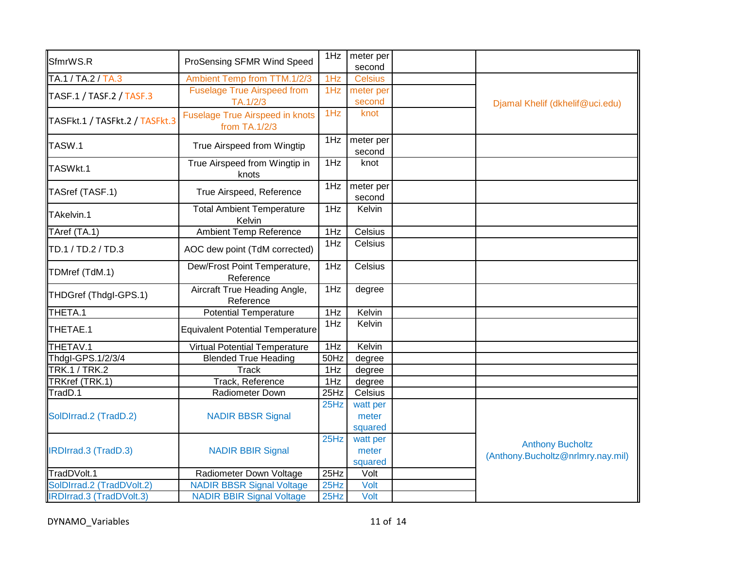| SfmrWS.R                        | ProSensing SFMR Wind Speed                              | 1Hz  | meter per<br>second |                                   |
|---------------------------------|---------------------------------------------------------|------|---------------------|-----------------------------------|
| TA.1 / TA.2 / TA.3              | Ambient Temp from TTM.1/2/3                             | 1Hz  | <b>Celsius</b>      |                                   |
| TASF.1 / TASF.2 / TASF.3        | <b>Fuselage True Airspeed from</b><br>TA.1/2/3          | 1Hz  | meter per<br>second | Djamal Khelif (dkhelif@uci.edu)   |
| TASFkt.1 / TASFkt.2 / TASFkt.3  | <b>Fuselage True Airspeed in knots</b><br>from TA.1/2/3 | 1Hz  | knot                |                                   |
| TASW.1                          | True Airspeed from Wingtip                              | 1Hz  | meter per<br>second |                                   |
| TASWkt.1                        | True Airspeed from Wingtip in<br>knots                  | 1Hz  | knot                |                                   |
| TASref (TASF.1)                 | True Airspeed, Reference                                | 1Hz  | meter per<br>second |                                   |
| TAkelvin.1                      | <b>Total Ambient Temperature</b><br>Kelvin              | 1Hz  | Kelvin              |                                   |
| TAref (TA.1)                    | <b>Ambient Temp Reference</b>                           | 1Hz  | Celsius             |                                   |
| TD.1 / TD.2 / TD.3              | AOC dew point (TdM corrected)                           | 1Hz  | Celsius             |                                   |
| TDMref (TdM.1)                  | Dew/Frost Point Temperature,<br>Reference               | 1Hz  | Celsius             |                                   |
| THDGref (Thdgl-GPS.1)           | Aircraft True Heading Angle,<br>Reference               | 1Hz  | degree              |                                   |
| THETA.1                         | <b>Potential Temperature</b>                            | 1Hz  | Kelvin              |                                   |
| THETAE.1                        | <b>Equivalent Potential Temperature</b>                 | 1Hz  | Kelvin              |                                   |
| THETAV.1                        | <b>Virtual Potential Temperature</b>                    | 1Hz  | Kelvin              |                                   |
| Thdgl-GPS.1/2/3/4               | <b>Blended True Heading</b>                             | 50Hz | degree              |                                   |
| <b>TRK.1/TRK.2</b>              | <b>Track</b>                                            | 1Hz  | degree              |                                   |
| TRKref (TRK.1)                  | Track, Reference                                        | 1Hz  | degree              |                                   |
| TradD.1                         | Radiometer Down                                         | 25Hz | Celsius             |                                   |
|                                 |                                                         | 25Hz | watt per            |                                   |
| SolDIrrad.2 (TradD.2)           | <b>NADIR BBSR Signal</b>                                |      | meter               |                                   |
|                                 |                                                         |      | squared             |                                   |
|                                 |                                                         | 25Hz | watt per            | <b>Anthony Bucholtz</b>           |
| IRDIrrad.3 (TradD.3)            | <b>NADIR BBIR Signal</b>                                |      | meter               | (Anthony.Bucholtz@nrlmry.nay.mil) |
|                                 |                                                         |      | squared             |                                   |
| TradDVolt.1                     | Radiometer Down Voltage                                 | 25Hz | Volt                |                                   |
| SolDIrrad.2 (TradDVolt.2)       | <b>NADIR BBSR Signal Voltage</b>                        | 25Hz | Volt                |                                   |
| <b>IRDIrrad.3 (TradDVolt.3)</b> | <b>NADIR BBIR Signal Voltage</b>                        | 25Hz | Volt                |                                   |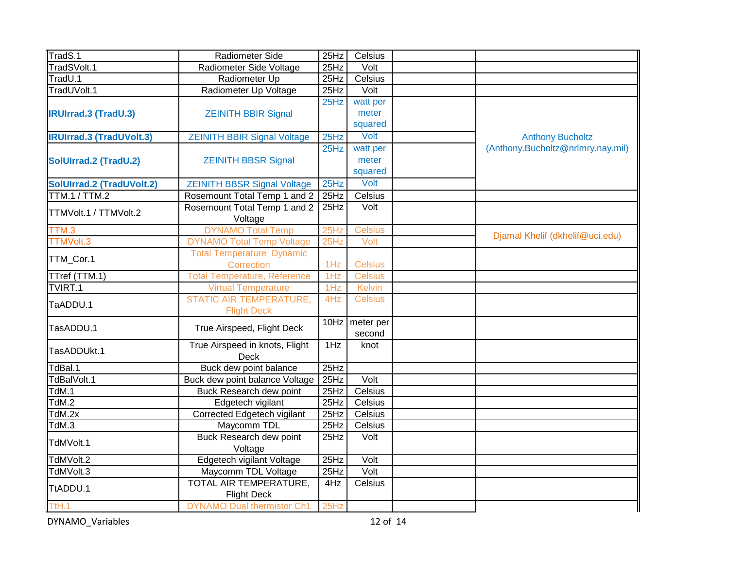| TradS.1                         | Radiometer Side                     | 25Hz | Celsius        |                                   |
|---------------------------------|-------------------------------------|------|----------------|-----------------------------------|
| TradSVolt.1                     | Radiometer Side Voltage             | 25Hz | Volt           |                                   |
| TradU.1                         | Radiometer Up                       | 25Hz | Celsius        |                                   |
| TradUVolt.1                     | Radiometer Up Voltage               | 25Hz | Volt           |                                   |
|                                 |                                     | 25Hz | watt per       |                                   |
| <b>IRUIrrad.3 (TradU.3)</b>     | <b>ZEINITH BBIR Signal</b>          |      | meter          |                                   |
|                                 |                                     |      | squared        |                                   |
| <b>IRUIrrad.3 (TradUVolt.3)</b> | <b>ZEINITH BBIR Signal Voltage</b>  | 25Hz | Volt           | <b>Anthony Bucholtz</b>           |
|                                 |                                     | 25Hz | watt per       | (Anthony.Bucholtz@nrlmry.nay.mil) |
| SolUIrrad.2 (TradU.2)           | <b>ZEINITH BBSR Signal</b>          |      | meter          |                                   |
|                                 |                                     |      | squared        |                                   |
| SolUIrrad.2 (TradUVolt.2)       | <b>ZEINITH BBSR Signal Voltage</b>  | 25Hz | Volt           |                                   |
| <b>TTM.1/TTM.2</b>              | Rosemount Total Temp 1 and 2        | 25Hz | Celsius        |                                   |
| TTMVolt.1 / TTMVolt.2           | Rosemount Total Temp 1 and 2        | 25Hz | Volt           |                                   |
|                                 | Voltage                             |      |                |                                   |
| TTM.3                           | <b>DYNAMO Total Temp</b>            | 25Hz | <b>Celsius</b> | Djamal Khelif (dkhelif@uci.edu)   |
| TTMVolt.3                       | <b>DYNAMO Total Temp Voltage</b>    | 25Hz | Volt           |                                   |
| TTM_Cor.1                       | <b>Total Temperature Dynamic</b>    |      |                |                                   |
|                                 | Correction                          | 1Hz  | <b>Celsius</b> |                                   |
| TTref (TTM.1)                   | <b>Total Temperature, Reference</b> | 1Hz  | <b>Celsius</b> |                                   |
| TVIRT.1                         | <b>Virtual Temperature</b>          | 1Hz  | <b>Kelvin</b>  |                                   |
| TaADDU.1                        | <b>STATIC AIR TEMPERATURE,</b>      | 4Hz  | <b>Celsius</b> |                                   |
|                                 | <b>Flight Deck</b>                  |      |                |                                   |
| TasADDU.1                       | True Airspeed, Flight Deck          | 10Hz | meter per      |                                   |
|                                 |                                     |      | second         |                                   |
| TasADDUkt.1                     | True Airspeed in knots, Flight      | 1Hz  | knot           |                                   |
|                                 | <b>Deck</b>                         |      |                |                                   |
| TdBal.1                         | Buck dew point balance              | 25Hz |                |                                   |
| TdBalVolt.1                     | Buck dew point balance Voltage      | 25Hz | Volt           |                                   |
| TdM.1                           | Buck Research dew point             | 25Hz | Celsius        |                                   |
| TdM.2                           | Edgetech vigilant                   | 25Hz | Celsius        |                                   |
| TdM.2x                          | Corrected Edgetech vigilant         | 25Hz | Celsius        |                                   |
| TdM.3                           | Maycomm TDL                         | 25Hz | Celsius        |                                   |
| TdMVolt.1                       | Buck Research dew point             | 25Hz | Volt           |                                   |
|                                 | Voltage                             |      |                |                                   |
| TdMVolt.2                       | Edgetech vigilant Voltage           | 25Hz | Volt           |                                   |
| TdMVolt.3                       | Maycomm TDL Voltage                 | 25Hz | Volt           |                                   |
| TtADDU.1                        | TOTAL AIR TEMPERATURE,              | 4Hz  | Celsius        |                                   |
|                                 | <b>Flight Deck</b>                  |      |                |                                   |
| T <sub>th.1</sub>               | <b>DYNAMO Dual thermistor Ch1</b>   | 25Hz |                |                                   |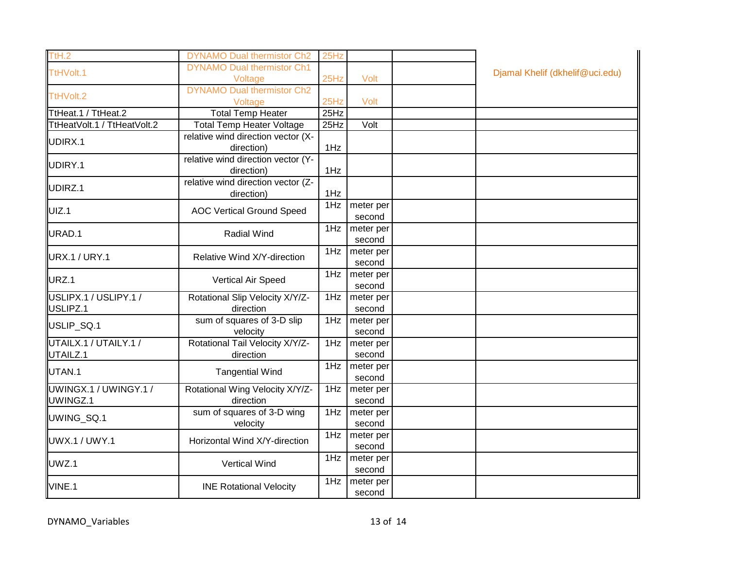| TtH.2                             | <b>DYNAMO Dual thermistor Ch2</b>                | 25Hz |                     |                                 |
|-----------------------------------|--------------------------------------------------|------|---------------------|---------------------------------|
| TtHVolt.1                         | <b>DYNAMO Dual thermistor Ch1</b>                |      |                     | Djamal Khelif (dkhelif@uci.edu) |
|                                   | Voltage<br><b>DYNAMO Dual thermistor Ch2</b>     | 25Hz | Volt                |                                 |
| TtHVolt.2                         | Voltage                                          | 25Hz | Volt                |                                 |
| TtHeat.1 / TtHeat.2               | <b>Total Temp Heater</b>                         | 25Hz |                     |                                 |
| TtHeatVolt.1 / TtHeatVolt.2       | <b>Total Temp Heater Voltage</b>                 | 25Hz | Volt                |                                 |
| UDIRX.1                           | relative wind direction vector (X-               |      |                     |                                 |
|                                   | direction)                                       | 1Hz  |                     |                                 |
| UDIRY.1                           | relative wind direction vector (Y-<br>direction) | 1Hz  |                     |                                 |
| UDIRZ.1                           | relative wind direction vector (Z-<br>direction) | 1Hz  |                     |                                 |
| UIZ.1                             | <b>AOC Vertical Ground Speed</b>                 | 1Hz  | meter per<br>second |                                 |
| URAD.1                            | <b>Radial Wind</b>                               | 1Hz  | meter per<br>second |                                 |
| <b>URX.1 / URY.1</b>              | Relative Wind X/Y-direction                      | 1Hz  | meter per<br>second |                                 |
| URZ.1                             | Vertical Air Speed                               | 1Hz  | meter per<br>second |                                 |
| USLIPX.1 / USLIPY.1 /             | Rotational Slip Velocity X/Y/Z-                  | 1Hz  | meter per           |                                 |
| USLIPZ.1                          | direction                                        |      | second              |                                 |
| USLIP_SQ.1                        | sum of squares of 3-D slip<br>velocity           | 1Hz  | meter per<br>second |                                 |
| UTAILX.1 / UTAILY.1 /             | Rotational Tail Velocity X/Y/Z-                  | 1Hz  | meter per           |                                 |
| UTAILZ.1                          | direction                                        |      | second              |                                 |
| UTAN.1                            | <b>Tangential Wind</b>                           | 1Hz  | meter per<br>second |                                 |
| UWINGX.1 / UWINGY.1 /<br>UWINGZ.1 | Rotational Wing Velocity X/Y/Z-<br>direction     | 1Hz  | meter per<br>second |                                 |
| UWING_SQ.1                        | sum of squares of 3-D wing<br>velocity           | 1Hz  | meter per<br>second |                                 |
| <b>UWX.1 / UWY.1</b>              | Horizontal Wind X/Y-direction                    | 1Hz  | meter per<br>second |                                 |
| UWZ.1                             | Vertical Wind                                    | 1Hz  | meter per<br>second |                                 |
| VINE.1                            | <b>INE Rotational Velocity</b>                   | 1Hz  | meter per<br>second |                                 |